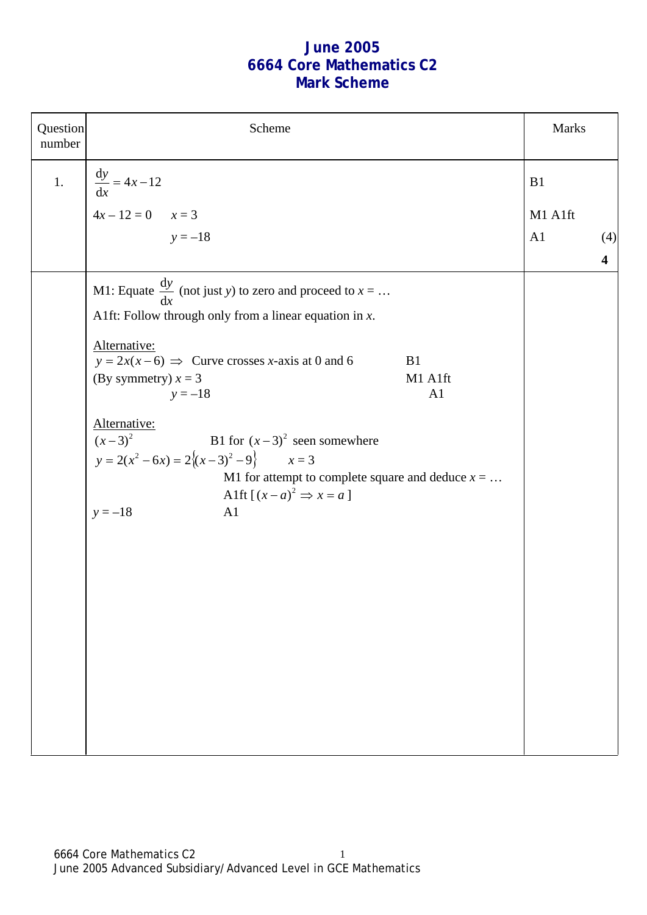## **June 2005 6664 Core Mathematics C2 Mark Scheme**

| Question<br>number | Scheme                                                                                                                                                                                                                                                                                                                                                                                                                                                                                               |                      | <b>Marks</b> |                         |
|--------------------|------------------------------------------------------------------------------------------------------------------------------------------------------------------------------------------------------------------------------------------------------------------------------------------------------------------------------------------------------------------------------------------------------------------------------------------------------------------------------------------------------|----------------------|--------------|-------------------------|
| 1.                 | $\frac{dy}{dx} = 4x - 12$<br>$4x - 12 = 0$ $x = 3$<br>$y = -18$                                                                                                                                                                                                                                                                                                                                                                                                                                      | B1<br>A <sub>1</sub> | M1 A1ft      | (4)                     |
|                    | M1: Equate $\frac{dy}{dx}$ (not just y) to zero and proceed to $x = $<br>A1ft: Follow through only from a linear equation in $x$ .<br>Alternative:<br>$y = 2x(x-6) \implies$ Curve crosses x-axis at 0 and 6<br>B1<br>(By symmetry) $x = 3$<br>M1 A1ft<br>$y = -18$<br>A1<br>Alternative:<br>$(x-3)^2$ B1 for $(x-3)^2$ seen somewhere<br>$y = 2(x^2 - 6x) = 2\{(x-3)^2 - 9\}$ $x = 3$<br>M1 for attempt to complete square and deduce $x = $<br>Alft $[(x-a)^2 \Rightarrow x=a]$<br>$y = -18$<br>A1 |                      |              | $\overline{\mathbf{4}}$ |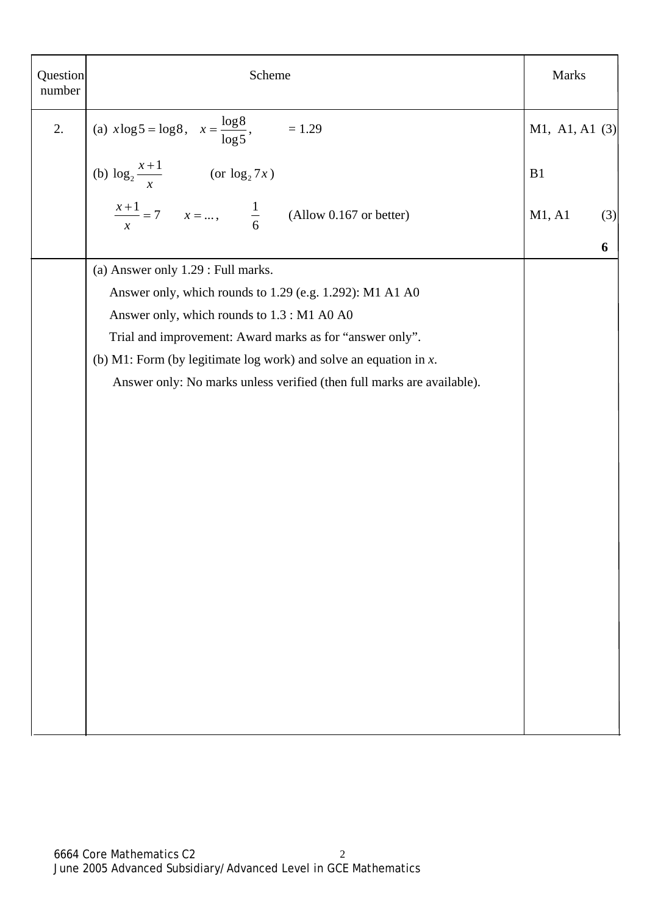| Question<br>number | Scheme                                                                 | <b>Marks</b>     |     |
|--------------------|------------------------------------------------------------------------|------------------|-----|
| 2.                 | (a) $x \log 5 = \log 8$ , $x = \frac{\log 8}{\log 5}$ , $= 1.29$       | M1, A1, A1 $(3)$ |     |
|                    | (b) $\log_2 \frac{x+1}{x}$ (or $\log_2 7x$ )                           | B1               |     |
|                    | $\frac{x+1}{x} = 7$ $x = $ , $\frac{1}{6}$ (Allow 0.167 or better)     | M1, A1           | (3) |
|                    |                                                                        |                  | 6   |
|                    | (a) Answer only 1.29 : Full marks.                                     |                  |     |
|                    | Answer only, which rounds to 1.29 (e.g. 1.292): M1 A1 A0               |                  |     |
|                    | Answer only, which rounds to 1.3 : M1 A0 A0                            |                  |     |
|                    | Trial and improvement: Award marks as for "answer only".               |                  |     |
|                    | (b) M1: Form (by legitimate log work) and solve an equation in $x$ .   |                  |     |
|                    | Answer only: No marks unless verified (then full marks are available). |                  |     |
|                    |                                                                        |                  |     |
|                    |                                                                        |                  |     |
|                    |                                                                        |                  |     |
|                    |                                                                        |                  |     |
|                    |                                                                        |                  |     |
|                    |                                                                        |                  |     |
|                    |                                                                        |                  |     |
|                    |                                                                        |                  |     |
|                    |                                                                        |                  |     |
|                    |                                                                        |                  |     |
|                    |                                                                        |                  |     |
|                    |                                                                        |                  |     |
|                    |                                                                        |                  |     |
|                    |                                                                        |                  |     |
|                    |                                                                        |                  |     |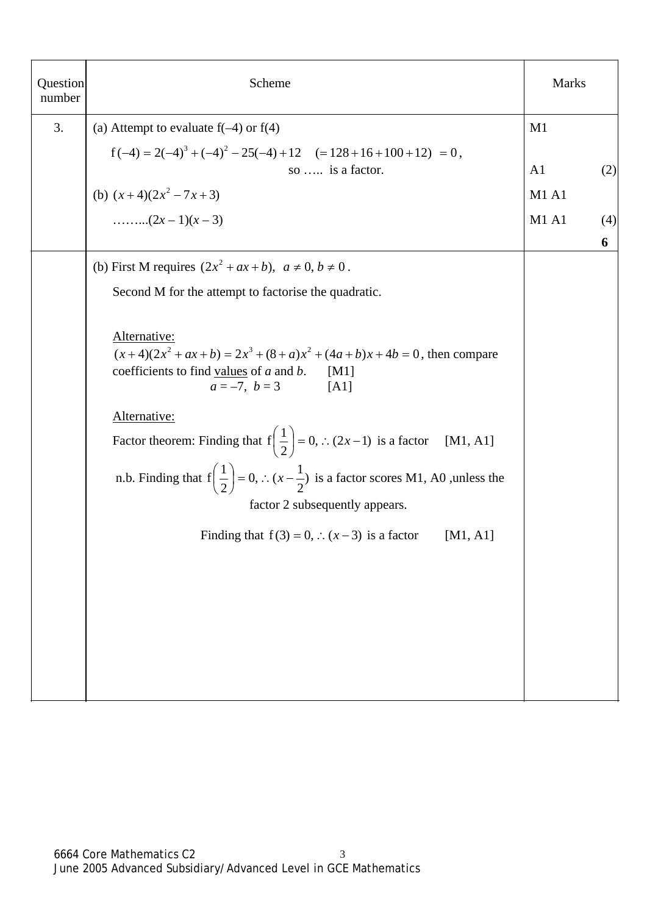| Question<br>number | Scheme                                                                                                                                                                                                                                                                                                                                                            | <b>Marks</b>   |     |
|--------------------|-------------------------------------------------------------------------------------------------------------------------------------------------------------------------------------------------------------------------------------------------------------------------------------------------------------------------------------------------------------------|----------------|-----|
| 3.                 | (a) Attempt to evaluate $f(-4)$ or $f(4)$                                                                                                                                                                                                                                                                                                                         | M1             |     |
|                    | $f(-4) = 2(-4)^3 + (-4)^2 - 25(-4) + 12$ $(= 128 + 16 + 100 + 12) = 0,$                                                                                                                                                                                                                                                                                           |                |     |
|                    | so  is a factor.                                                                                                                                                                                                                                                                                                                                                  | A <sub>1</sub> | (2) |
|                    | (b) $(x+4)(2x^2-7x+3)$                                                                                                                                                                                                                                                                                                                                            | M1 A1          |     |
|                    |                                                                                                                                                                                                                                                                                                                                                                   | <b>M1 A1</b>   | (4) |
|                    |                                                                                                                                                                                                                                                                                                                                                                   |                | 6   |
|                    | (b) First M requires $(2x^2 + ax + b)$ , $a \ne 0$ , $b \ne 0$ .                                                                                                                                                                                                                                                                                                  |                |     |
|                    | Second M for the attempt to factorise the quadratic.                                                                                                                                                                                                                                                                                                              |                |     |
|                    |                                                                                                                                                                                                                                                                                                                                                                   |                |     |
|                    | Alternative:<br>$(x+4)(2x2 + ax + b) = 2x3 + (8 + a)x2 + (4a+b)x + 4b = 0$ , then compare<br>coefficients to find values of $a$ and $b$ .<br>[M1]<br>$a = -7, b = 3$ [A1]                                                                                                                                                                                         |                |     |
|                    | Alternative:<br>Factor theorem: Finding that $f\left(\frac{1}{2}\right) = 0$ , $\therefore$ (2x-1) is a factor [M1, A1]<br>n.b. Finding that $f\left(\frac{1}{2}\right) = 0$ , $\therefore$ $(x - \frac{1}{2})$ is a factor scores M1, A0, unless the<br>factor 2 subsequently appears.<br>Finding that $f(3) = 0$ , $\therefore$ $(x-3)$ is a factor<br>[M1, A1] |                |     |
|                    |                                                                                                                                                                                                                                                                                                                                                                   |                |     |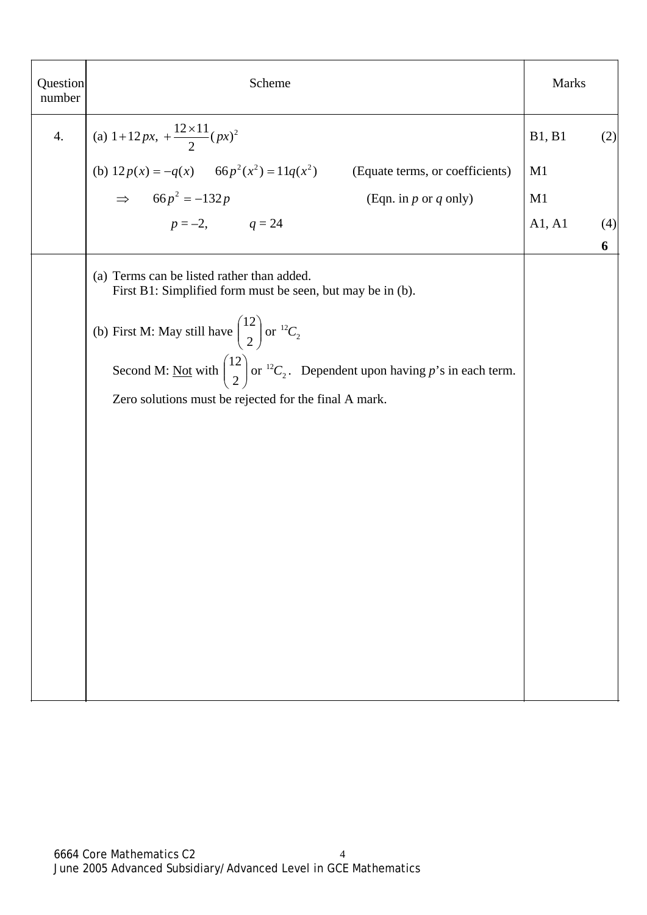| Question<br>number | Scheme                                                                                                                                                                                                                                                                                                                                                | <b>Marks</b> |          |
|--------------------|-------------------------------------------------------------------------------------------------------------------------------------------------------------------------------------------------------------------------------------------------------------------------------------------------------------------------------------------------------|--------------|----------|
| 4.                 | (a) $1+12px$ , $+\frac{12\times11}{2}(px)^2$                                                                                                                                                                                                                                                                                                          | B1, B1       | (2)      |
|                    | (b) $12p(x) = -q(x)$ $66p^2(x^2) = 11q(x^2)$ (Equate terms, or coefficients)                                                                                                                                                                                                                                                                          | M1           |          |
|                    | $\Rightarrow$ 66p <sup>2</sup> = -132p<br>(Eqn. in $p$ or $q$ only)                                                                                                                                                                                                                                                                                   | M1           |          |
|                    | $p = -2,$ $q = 24$                                                                                                                                                                                                                                                                                                                                    | A1, A1       | (4)<br>6 |
|                    | (a) Terms can be listed rather than added.<br>First B1: Simplified form must be seen, but may be in (b).<br>(b) First M: May still have $\binom{12}{2}$ or $^{12}C_2$<br>Second M: <u>Not</u> with $\binom{12}{2}$ or <sup>12</sup> C <sub>2</sub> . Dependent upon having p's in each term.<br>Zero solutions must be rejected for the final A mark. |              |          |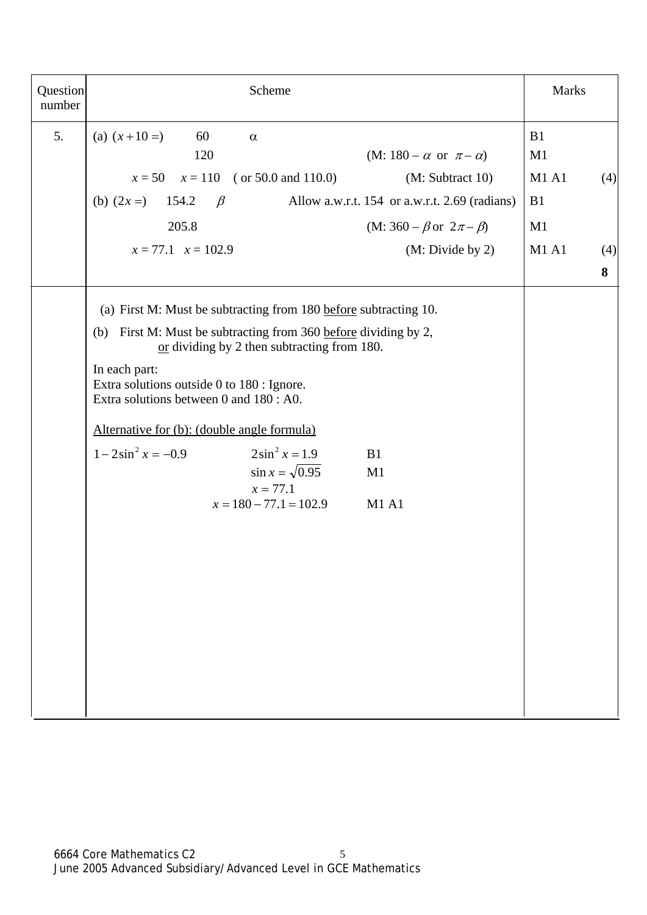| Question<br>number | Scheme                                                                                                                                                                                                                                                                                                                                                                                                                                                                                   | <b>Marks</b>                                                            |
|--------------------|------------------------------------------------------------------------------------------------------------------------------------------------------------------------------------------------------------------------------------------------------------------------------------------------------------------------------------------------------------------------------------------------------------------------------------------------------------------------------------------|-------------------------------------------------------------------------|
| 5.                 | (a) $(x+10=)$<br>60<br>$\alpha$<br>120<br>$(M: 180 - \alpha \text{ or } \pi - \alpha)$<br>$x = 50$ $x = 110$ (or 50.0 and 110.0)<br>(M: Subtract 10)<br>(b) $(2x =)$ 154.2<br>Allow a.w.r.t. 154 or a.w.r.t. 2.69 (radians)<br>$\beta$<br>205.8<br>(M: 360 – $\beta$ or $2\pi - \beta$ )<br>$x = 77.1$ $x = 102.9$<br>(M: Divide by 2)                                                                                                                                                   | B1<br>M1<br><b>M1 A1</b><br>(4)<br>B1<br>M1<br><b>M1 A1</b><br>(4)<br>8 |
|                    | (a) First M: Must be subtracting from 180 before subtracting 10.<br>(b) First M: Must be subtracting from 360 before dividing by 2,<br>or dividing by 2 then subtracting from 180.<br>In each part:<br>Extra solutions outside 0 to 180 : Ignore.<br>Extra solutions between 0 and 180 : A0.<br>Alternative for (b): (double angle formula)<br>$1-2\sin^2 x = -0.9$<br>$2\sin^2 x = 1.9$<br>B1<br>$\sin x = \sqrt{0.95}$<br>M1<br>$x = 77.1$<br>$x = 180 - 77.1 = 102.9$<br><b>M1 A1</b> |                                                                         |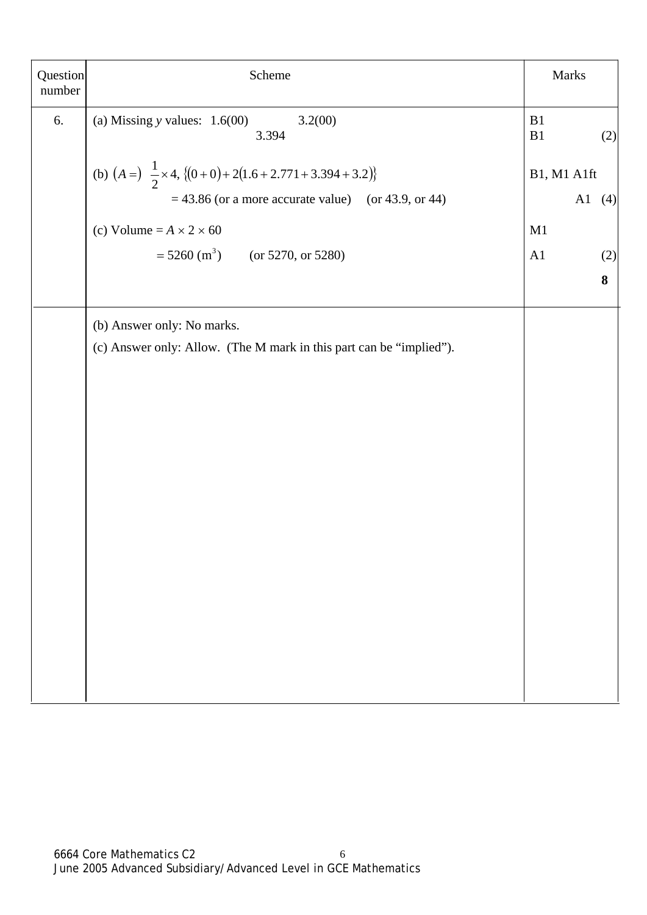| Question<br>number | Scheme                                                                   |                     | <b>Marks</b> |
|--------------------|--------------------------------------------------------------------------|---------------------|--------------|
| 6.                 | (a) Missing $y$ values: $1.6(00)$<br>3.2(00)<br>3.394                    | B1<br>$\mathbf{B}1$ | (2)          |
|                    | (b) $(A = )$ $\frac{1}{2} \times 4$ , $\{(0+0)+2(1.6+2.771+3.394+3.2)\}$ | B1, M1 A1ft         |              |
|                    | $=$ 43.86 (or a more accurate value) (or 43.9, or 44)                    |                     | A1<br>(4)    |
|                    | (c) Volume = $A \times 2 \times 60$                                      | M1                  |              |
|                    | $= 5260$ (m <sup>3</sup> ) (or 5270, or 5280)                            | A1                  | (2)          |
|                    |                                                                          |                     | 8            |
|                    | (b) Answer only: No marks.                                               |                     |              |
|                    | (c) Answer only: Allow. (The M mark in this part can be "implied").      |                     |              |
|                    |                                                                          |                     |              |
|                    |                                                                          |                     |              |
|                    |                                                                          |                     |              |
|                    |                                                                          |                     |              |
|                    |                                                                          |                     |              |
|                    |                                                                          |                     |              |
|                    |                                                                          |                     |              |
|                    |                                                                          |                     |              |
|                    |                                                                          |                     |              |
|                    |                                                                          |                     |              |
|                    |                                                                          |                     |              |
|                    |                                                                          |                     |              |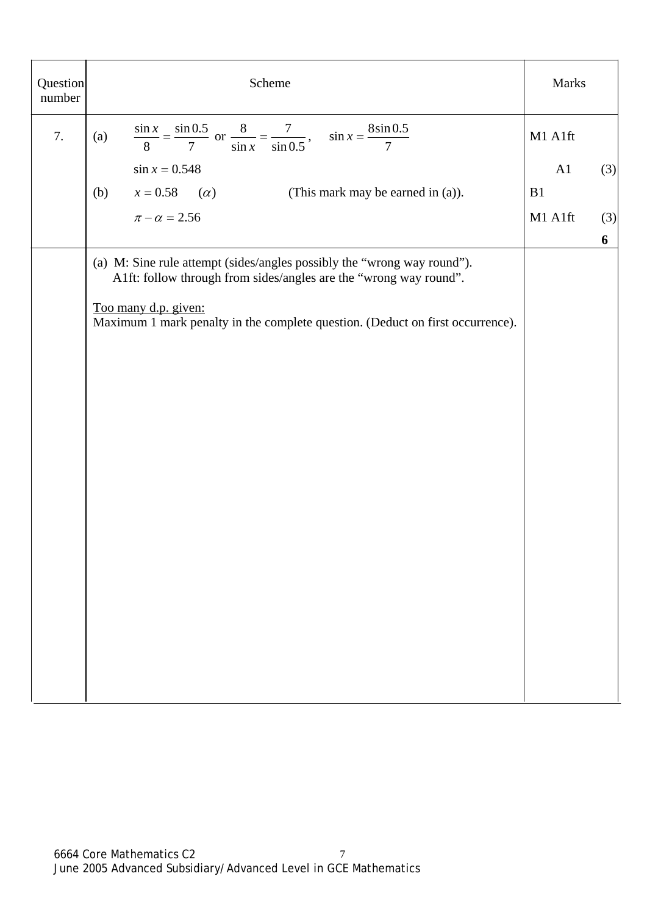| Question<br>number | Scheme                                                                                                                                       | Marks   |     |
|--------------------|----------------------------------------------------------------------------------------------------------------------------------------------|---------|-----|
| 7.                 | $\frac{\sin x}{8} = \frac{\sin 0.5}{7}$ or $\frac{8}{\sin x} = \frac{7}{\sin 0.5}$ , $\sin x = \frac{8 \sin 0.5}{7}$<br>(a)                  | M1 A1ft |     |
|                    | $\sin x = 0.548$                                                                                                                             | A1      | (3) |
|                    | $x = 0.58$ ( <i>a</i> )<br>(b)<br>(This mark may be earned in (a)).                                                                          | B1      |     |
|                    | $\pi - \alpha = 2.56$                                                                                                                        | M1 A1ft | (3) |
|                    |                                                                                                                                              |         | 6   |
|                    | (a) M: Sine rule attempt (sides/angles possibly the "wrong way round").<br>A1ft: follow through from sides/angles are the "wrong way round". |         |     |
|                    | Too many d.p. given:<br>Maximum 1 mark penalty in the complete question. (Deduct on first occurrence).                                       |         |     |
|                    |                                                                                                                                              |         |     |
|                    |                                                                                                                                              |         |     |
|                    |                                                                                                                                              |         |     |
|                    |                                                                                                                                              |         |     |
|                    |                                                                                                                                              |         |     |
|                    |                                                                                                                                              |         |     |
|                    |                                                                                                                                              |         |     |
|                    |                                                                                                                                              |         |     |
|                    |                                                                                                                                              |         |     |
|                    |                                                                                                                                              |         |     |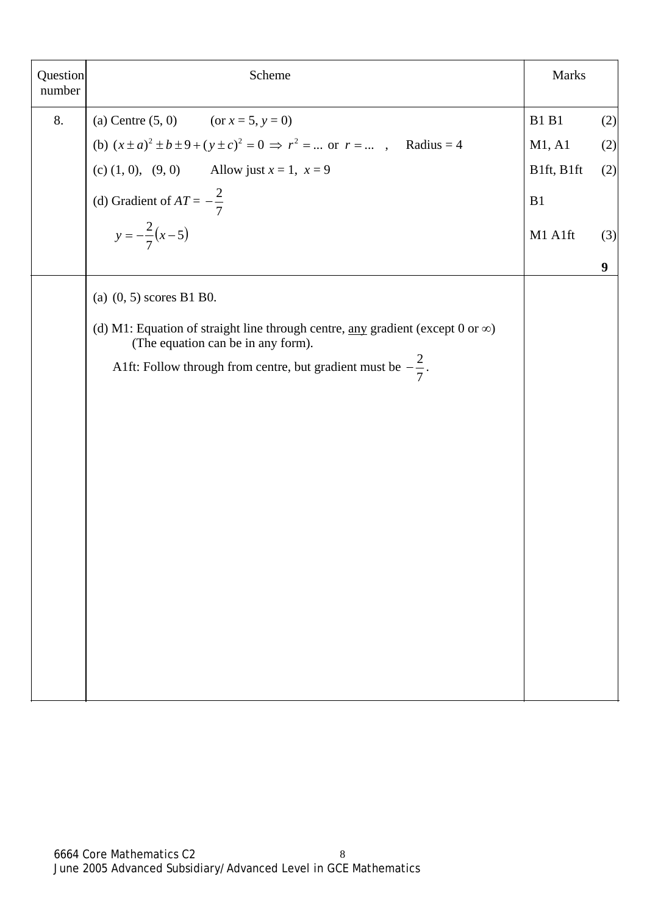| Question<br>number | Scheme                                                                                                                              | <b>Marks</b> |                  |
|--------------------|-------------------------------------------------------------------------------------------------------------------------------------|--------------|------------------|
| 8.                 | (a) Centre $(5, 0)$ (or $x = 5, y = 0$ )                                                                                            | <b>B1 B1</b> | (2)              |
|                    | (b) $(x \pm a)^2 \pm b \pm 9 + (y \pm c)^2 = 0 \Rightarrow r^2 = $ or $r = $ , Radius = 4                                           | M1, A1       | (2)              |
|                    | (c) (1, 0), (9, 0) Allow just $x = 1$ , $x = 9$                                                                                     | B1ft, B1ft   | (2)              |
|                    | (d) Gradient of $AT = -\frac{2}{7}$                                                                                                 | B1           |                  |
|                    | $y = -\frac{2}{7}(x-5)$                                                                                                             | M1 A1ft      | (3)              |
|                    |                                                                                                                                     |              | $\boldsymbol{9}$ |
|                    | (a) $(0, 5)$ scores B1 B0.                                                                                                          |              |                  |
|                    | (d) M1: Equation of straight line through centre, <u>any</u> gradient (except 0 or $\infty$ )<br>(The equation can be in any form). |              |                  |
|                    | A1ft: Follow through from centre, but gradient must be $-\frac{2}{7}$ .                                                             |              |                  |
|                    |                                                                                                                                     |              |                  |
|                    |                                                                                                                                     |              |                  |
|                    |                                                                                                                                     |              |                  |
|                    |                                                                                                                                     |              |                  |
|                    |                                                                                                                                     |              |                  |
|                    |                                                                                                                                     |              |                  |
|                    |                                                                                                                                     |              |                  |
|                    |                                                                                                                                     |              |                  |
|                    |                                                                                                                                     |              |                  |
|                    |                                                                                                                                     |              |                  |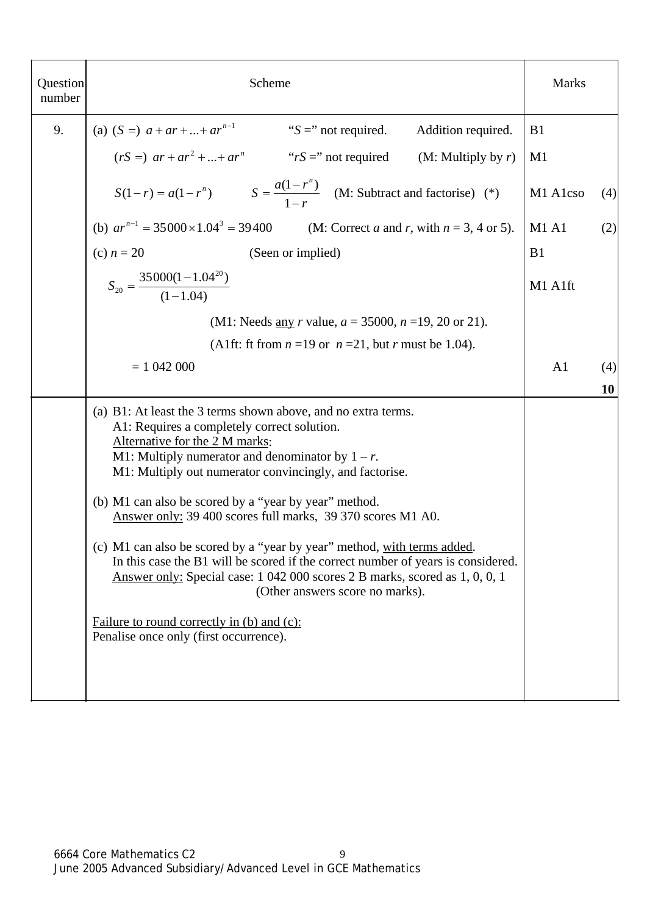| Question<br>number | Scheme                                                                                                                                                                                                                                                                                                                                                                                   | <b>Marks</b>   |     |
|--------------------|------------------------------------------------------------------------------------------------------------------------------------------------------------------------------------------------------------------------------------------------------------------------------------------------------------------------------------------------------------------------------------------|----------------|-----|
| 9.                 | (a) $(S =)$ $a + ar +  + ar^{n-1}$<br>" $S =$ " not required.<br>Addition required.                                                                                                                                                                                                                                                                                                      | B1             |     |
|                    | $(rS =) ar + ar2 +  + arn$ "rS =" not required (M: Multiply by r)                                                                                                                                                                                                                                                                                                                        | M1             |     |
|                    | $S(1 - r) = a(1 - r^n)$ $S = \frac{a(1 - r^n)}{1 - r}$ (M: Subtract and factorise) (*)                                                                                                                                                                                                                                                                                                   | M1 A1cso       | (4) |
|                    | (b) $ar^{n-1} = 35000 \times 1.04^3 = 39400$ (M: Correct <i>a</i> and <i>r</i> , with $n = 3, 4$ or 5).                                                                                                                                                                                                                                                                                  | <b>M1 A1</b>   | (2) |
|                    | (c) $n = 20$<br>(Seen or implied)                                                                                                                                                                                                                                                                                                                                                        | B <sub>1</sub> |     |
|                    | $S_{20} = \frac{35000(1-1.04^{20})}{(1-1.04)}$                                                                                                                                                                                                                                                                                                                                           | M1 A1ft        |     |
|                    | (M1: Needs <u>any</u> <i>r</i> value, $a = 35000$ , $n = 19, 20$ or 21).                                                                                                                                                                                                                                                                                                                 |                |     |
|                    | (A1ft: ft from $n = 19$ or $n = 21$ , but r must be 1.04).                                                                                                                                                                                                                                                                                                                               |                |     |
|                    | $= 1042000$                                                                                                                                                                                                                                                                                                                                                                              | A <sub>1</sub> | (4) |
|                    |                                                                                                                                                                                                                                                                                                                                                                                          |                | 10  |
|                    | (a) B1: At least the 3 terms shown above, and no extra terms.<br>A1: Requires a completely correct solution.<br>Alternative for the 2 M marks:<br>M1: Multiply numerator and denominator by $1 - r$ .<br>M1: Multiply out numerator convincingly, and factorise.<br>(b) M1 can also be scored by a "year by year" method.<br>Answer only: 39 400 scores full marks, 39 370 scores M1 A0. |                |     |
|                    | (c) M1 can also be scored by a "year by year" method, with terms added.<br>In this case the B1 will be scored if the correct number of years is considered.<br>Answer only: Special case: 1 042 000 scores 2 B marks, scored as 1, 0, 0, 1<br>(Other answers score no marks).                                                                                                            |                |     |
|                    | Failure to round correctly in (b) and (c):<br>Penalise once only (first occurrence).                                                                                                                                                                                                                                                                                                     |                |     |